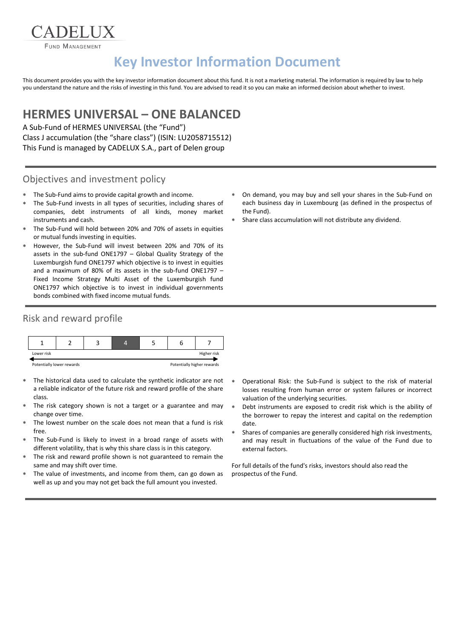FUND MANAGEMENT

ADELIX

# **Key Investor Information Document**

This document provides you with the key investor information document about this fund. It is not a marketing material. The information is required by law to help you understand the nature and the risks of investing in this fund. You are advised to read it so you can make an informed decision about whether to invest.

## **HERMES UNIVERSAL – ONE BALANCED**

A Sub-Fund of HERMES UNIVERSAL (the "Fund") Class J accumulation (the "share class") (ISIN: LU2058715512) This Fund is managed by CADELUX S.A., part of Delen group

#### Objectives and investment policy

- The Sub-Fund aims to provide capital growth and income.
- The Sub-Fund invests in all types of securities, including shares of companies, debt instruments of all kinds, money market instruments and cash.
- The Sub-Fund will hold between 20% and 70% of assets in equities or mutual funds investing in equities.
- However, the Sub-Fund will invest between 20% and 70% of its assets in the sub-fund ONE1797 – Global Quality Strategy of the Luxemburgish fund ONE1797 which objective is to invest in equities and a maximum of 80% of its assets in the sub-fund ONE1797 – Fixed Income Strategy Multi Asset of the Luxemburgish fund ONE1797 which objective is to invest in individual governments bonds combined with fixed income mutual funds.

### Risk and reward profile



- The historical data used to calculate the synthetic indicator are not a reliable indicator of the future risk and reward profile of the share class.
- The risk category shown is not a target or a guarantee and may change over time.
- The lowest number on the scale does not mean that a fund is risk free.
- The Sub-Fund is likely to invest in a broad range of assets with different volatility, that is why this share class is in this category.
- The risk and reward profile shown is not guaranteed to remain the same and may shift over time.
- The value of investments, and income from them, can go down as well as up and you may not get back the full amount you invested.
- On demand, you may buy and sell your shares in the Sub-Fund on each business day in Luxembourg (as defined in the prospectus of the Fund).
- Share class accumulation will not distribute any dividend.

- Operational Risk: the Sub-Fund is subject to the risk of material losses resulting from human error or system failures or incorrect valuation of the underlying securities.
- Debt instruments are exposed to credit risk which is the ability of the borrower to repay the interest and capital on the redemption date.
- Shares of companies are generally considered high risk investments, and may result in fluctuations of the value of the Fund due to external factors.

For full details of the fund's risks, investors should also read the prospectus of the Fund.